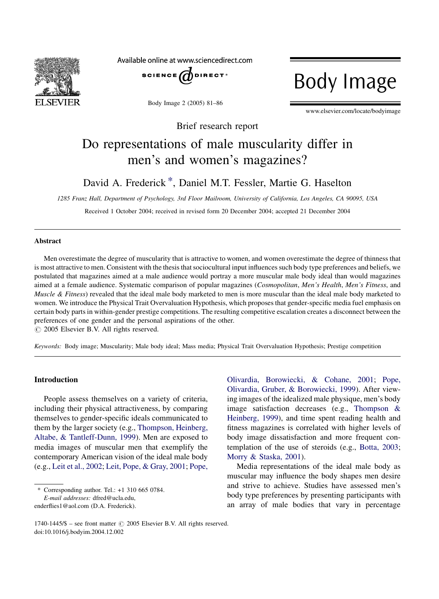

Available online at www.sciencedirect.com



Body Image 2 (2005) 81–86

**Body Image** 

www.elsevier.com/locate/bodyimage

Brief research report

# Do representations of male muscularity differ in men's and women's magazines?

# David A. Frederick \*, Daniel M.T. Fessler, Martie G. Haselton

1285 Franz Hall, Department of Psychology, 3rd Floor Mailroom, University of California, Los Angeles, CA 90095, USA

Received 1 October 2004; received in revised form 20 December 2004; accepted 21 December 2004

#### Abstract

Men overestimate the degree of muscularity that is attractive to women, and women overestimate the degree of thinness that is most attractive to men. Consistent with the thesis that sociocultural input influences such body type preferences and beliefs, we postulated that magazines aimed at a male audience would portray a more muscular male body ideal than would magazines aimed at a female audience. Systematic comparison of popular magazines (Cosmopolitan, Men's Health, Men's Fitness, and Muscle & Fitness) revealed that the ideal male body marketed to men is more muscular than the ideal male body marketed to women. We introduce the Physical Trait Overvaluation Hypothesis, which proposes that gender-specific media fuel emphasis on certain body parts in within-gender prestige competitions. The resulting competitive escalation creates a disconnect between the preferences of one gender and the personal aspirations of the other.

 $\odot$  2005 Elsevier B.V. All rights reserved.

Keywords: Body image; Muscularity; Male body ideal; Mass media; Physical Trait Overvaluation Hypothesis; Prestige competition

# Introduction

People assess themselves on a variety of criteria, including their physical attractiveness, by comparing themselves to gender-specific ideals communicated to them by the larger society (e.g., [Thompson, Heinberg,](#page-5-0) [Altabe, & Tantleff-Dunn, 1999](#page-5-0)). Men are exposed to media images of muscular men that exemplify the contemporary American vision of the ideal male body (e.g., [Leit et al., 2002;](#page-5-0) [Leit, Pope, & Gray, 2001](#page-5-0); [Pope,](#page-5-0)

\* Corresponding author. Tel.: +1 310 665 0784.

E-mail addresses: dfred@ucla.edu, enderflies1@aol.com (D.A. Frederick). [Olivardia, Borowiecki, & Cohane, 2001;](#page-5-0) [Pope,](#page-5-0) [Olivardia, Gruber, & Borowiecki, 1999](#page-5-0)). After viewing images of the idealized male physique, men's body image satisfaction decreases (e.g., [Thompson &](#page-5-0) [Heinberg, 1999](#page-5-0)), and time spent reading health and fitness magazines is correlated with higher levels of body image dissatisfaction and more frequent contemplation of the use of steroids (e.g., [Botta, 2003](#page-4-0); [Morry & Staska, 2001](#page-5-0)).

Media representations of the ideal male body as muscular may influence the body shapes men desire and strive to achieve. Studies have assessed men's body type preferences by presenting participants with an array of male bodies that vary in percentage

<sup>1740-1445/\$ –</sup> see front matter © 2005 Elsevier B.V. All rights reserved. doi:10.1016/j.bodyim.2004.12.002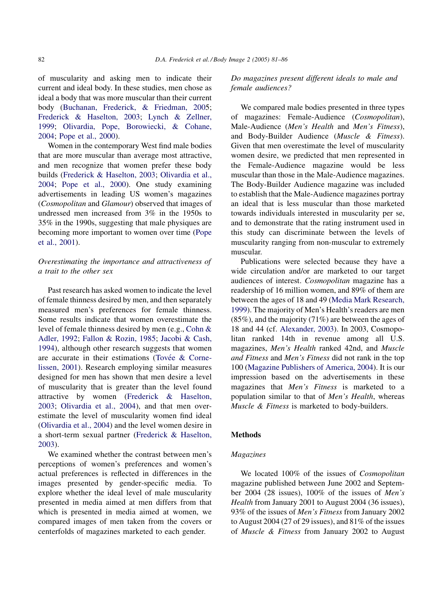of muscularity and asking men to indicate their current and ideal body. In these studies, men chose as ideal a body that was more muscular than their current body [\(Buchanan, Frederick, & Friedman, 2005](#page-4-0); [Frederick & Haselton, 2003;](#page-5-0) [Lynch & Zellner,](#page-5-0) [1999](#page-5-0); [Olivardia, Pope, Borowiecki, & Cohane,](#page-5-0) [2004](#page-5-0); [Pope et al., 2000\)](#page-5-0).

Women in the contemporary West find male bodies that are more muscular than average most attractive, and men recognize that women prefer these body builds [\(Frederick & Haselton, 2003;](#page-5-0) [Olivardia et al.,](#page-5-0) [2004](#page-5-0); [Pope et al., 2000](#page-5-0)). One study examining advertisements in leading US women's magazines (Cosmopolitan and Glamour) observed that images of undressed men increased from 3% in the 1950s to 35% in the 1990s, suggesting that male physiques are becoming more important to women over time ([Pope](#page-5-0) [et al., 2001\)](#page-5-0).

# Overestimating the importance and attractiveness of a trait to the other sex

Past research has asked women to indicate the level of female thinness desired by men, and then separately measured men's preferences for female thinness. Some results indicate that women overestimate the level of female thinness desired by men (e.g., [Cohn &](#page-5-0) [Adler, 1992](#page-5-0); [Fallon & Rozin, 1985](#page-5-0); [Jacobi & Cash,](#page-5-0) [1994\)](#page-5-0), although other research suggests that women are accurate in their estimations (Tovée  $\&$  Corne[lissen, 2001\)](#page-5-0). Research employing similar measures designed for men has shown that men desire a level of muscularity that is greater than the level found attractive by women ([Frederick & Haselton,](#page-5-0) [2003;](#page-5-0) [Olivardia et al., 2004](#page-5-0)), and that men overestimate the level of muscularity women find ideal ([Olivardia et al., 2004](#page-5-0)) and the level women desire in a short-term sexual partner ([Frederick & Haselton,](#page-5-0) [2003\)](#page-5-0).

We examined whether the contrast between men's perceptions of women's preferences and women's actual preferences is reflected in differences in the images presented by gender-specific media. To explore whether the ideal level of male muscularity presented in media aimed at men differs from that which is presented in media aimed at women, we compared images of men taken from the covers or centerfolds of magazines marketed to each gender.

Do magazines present different ideals to male and female audiences?

We compared male bodies presented in three types of magazines: Female-Audience (Cosmopolitan), Male-Audience (Men's Health and Men's Fitness), and Body-Builder Audience (Muscle & Fitness). Given that men overestimate the level of muscularity women desire, we predicted that men represented in the Female-Audience magazine would be less muscular than those in the Male-Audience magazines. The Body-Builder Audience magazine was included to establish that the Male-Audience magazines portray an ideal that is less muscular than those marketed towards individuals interested in muscularity per se, and to demonstrate that the rating instrument used in this study can discriminate between the levels of muscularity ranging from non-muscular to extremely muscular.

Publications were selected because they have a wide circulation and/or are marketed to our target audiences of interest. Cosmopolitan magazine has a readership of 16 million women, and 89% of them are between the ages of 18 and 49 ([Media Mark Research,](#page-5-0) [1999](#page-5-0)). The majority of Men's Health's readers are men (85%), and the majority (71%) are between the ages of 18 and 44 (cf. [Alexander, 2003](#page-4-0)). In 2003, Cosmopolitan ranked 14th in revenue among all U.S. magazines, Men's Health ranked 42nd, and Muscle and Fitness and Men's Fitness did not rank in the top 100 [\(Magazine Publishers of America, 2004\)](#page-5-0). It is our impression based on the advertisements in these magazines that Men's Fitness is marketed to a population similar to that of Men's Health, whereas Muscle & Fitness is marketed to body-builders.

#### Methods

# Magazines

We located 100% of the issues of *Cosmopolitan* magazine published between June 2002 and September 2004 (28 issues), 100% of the issues of Men's Health from January 2001 to August 2004 (36 issues), 93% of the issues of Men's Fitness from January 2002 to August 2004 (27 of 29 issues), and  $81\%$  of the issues of Muscle & Fitness from January 2002 to August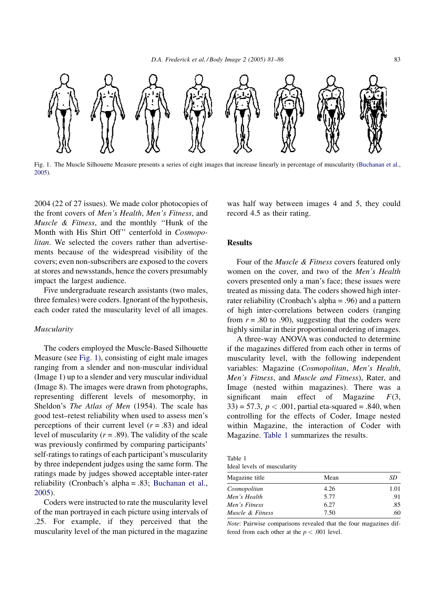

Fig. 1. The Muscle Silhouette Measure presents a series of eight images that increase linearly in percentage of muscularity ([Buchanan et al.,](#page-4-0) [2005](#page-4-0)).

2004 (22 of 27 issues). We made color photocopies of the front covers of Men's Health, Men's Fitness, and Muscle & Fitness, and the monthly ''Hunk of the Month with His Shirt Off'' centerfold in Cosmopolitan. We selected the covers rather than advertisements because of the widespread visibility of the covers; even non-subscribers are exposed to the covers at stores and newsstands, hence the covers presumably impact the largest audience.

Five undergraduate research assistants (two males, three females) were coders. Ignorant of the hypothesis, each coder rated the muscularity level of all images.

#### Muscularity

The coders employed the Muscle-Based Silhouette Measure (see Fig. 1), consisting of eight male images ranging from a slender and non-muscular individual (Image 1) up to a slender and very muscular individual (Image 8). The images were drawn from photographs, representing different levels of mesomorphy, in Sheldon's The Atlas of Men (1954). The scale has good test–retest reliability when used to assess men's perceptions of their current level  $(r = .83)$  and ideal level of muscularity ( $r = .89$ ). The validity of the scale was previously confirmed by comparing participants' self-ratings to ratings of each participant's muscularity by three independent judges using the same form. The ratings made by judges showed acceptable inter-rater reliability (Cronbach's alpha = .83; [Buchanan et al.,](#page-4-0) [2005](#page-4-0)).

Coders were instructed to rate the muscularity level of the man portrayed in each picture using intervals of .25. For example, if they perceived that the muscularity level of the man pictured in the magazine was half way between images 4 and 5, they could record 4.5 as their rating.

# Results

Four of the Muscle & Fitness covers featured only women on the cover, and two of the Men's Health covers presented only a man's face; these issues were treated as missing data. The coders showed high interrater reliability (Cronbach's alpha = .96) and a pattern of high inter-correlations between coders (ranging from  $r = .80$  to .90), suggesting that the coders were highly similar in their proportional ordering of images.

A three-way ANOVA was conducted to determine if the magazines differed from each other in terms of muscularity level, with the following independent variables: Magazine (Cosmopolitan, Men's Health, Men's Fitness, and Muscle and Fitness), Rater, and Image (nested within magazines). There was a significant main effect of Magazine  $F(3)$ ,  $33$ ) = 57.3,  $p < .001$ , partial eta-squared = .840, when controlling for the effects of Coder, Image nested within Magazine, the interaction of Coder with Magazine. Table 1 summarizes the results.

Table 1 Ideal levels of muscularity

| Mean | SD   |
|------|------|
| 4.26 | 1.01 |
| 5.77 | .91  |
| 6.27 | .85  |
| 7.50 | .60  |
|      |      |

Note: Pairwise comparisons revealed that the four magazines differed from each other at the  $p < .001$  level.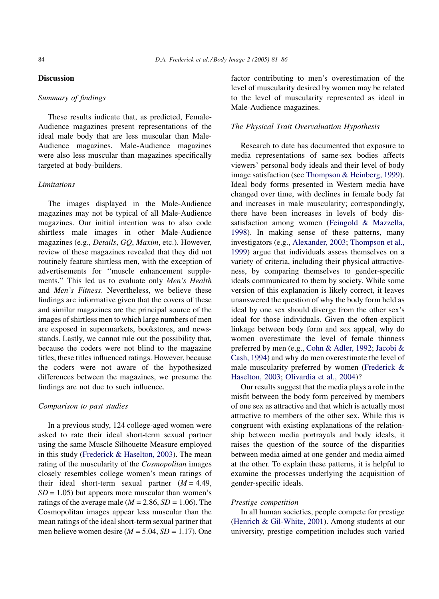# **Discussion**

# Summary of findings

These results indicate that, as predicted, Female-Audience magazines present representations of the ideal male body that are less muscular than Male-Audience magazines. Male-Audience magazines were also less muscular than magazines specifically targeted at body-builders.

# **Limitations**

The images displayed in the Male-Audience magazines may not be typical of all Male-Audience magazines. Our initial intention was to also code shirtless male images in other Male-Audience magazines (e.g., Details, GQ, Maxim, etc.). However, review of these magazines revealed that they did not routinely feature shirtless men, with the exception of advertisements for ''muscle enhancement supplements." This led us to evaluate only Men's Health and Men's Fitness. Nevertheless, we believe these findings are informative given that the covers of these and similar magazines are the principal source of the images of shirtless men to which large numbers of men are exposed in supermarkets, bookstores, and newsstands. Lastly, we cannot rule out the possibility that, because the coders were not blind to the magazine titles, these titles influenced ratings. However, because the coders were not aware of the hypothesized differences between the magazines, we presume the findings are not due to such influence.

# Comparison to past studies

In a previous study, 124 college-aged women were asked to rate their ideal short-term sexual partner using the same Muscle Silhouette Measure employed in this study [\(Frederick & Haselton, 2003](#page-5-0)). The mean rating of the muscularity of the Cosmopolitan images closely resembles college women's mean ratings of their ideal short-term sexual partner  $(M = 4.49)$ ,  $SD = 1.05$ ) but appears more muscular than women's ratings of the average male ( $M = 2.86$ ,  $SD = 1.06$ ). The Cosmopolitan images appear less muscular than the mean ratings of the ideal short-term sexual partner that men believe women desire ( $M = 5.04$ ,  $SD = 1.17$ ). One factor contributing to men's overestimation of the level of muscularity desired by women may be related to the level of muscularity represented as ideal in Male-Audience magazines.

### The Physical Trait Overvaluation Hypothesis

Research to date has documented that exposure to media representations of same-sex bodies affects viewers' personal body ideals and their level of body image satisfaction (see [Thompson & Heinberg, 1999\)](#page-5-0). Ideal body forms presented in Western media have changed over time, with declines in female body fat and increases in male muscularity; correspondingly, there have been increases in levels of body dissatisfaction among women [\(Feingold & Mazzella,](#page-5-0) [1998](#page-5-0)). In making sense of these patterns, many investigators (e.g., [Alexander, 2003;](#page-4-0) [Thompson et al.,](#page-5-0) [1999](#page-5-0)) argue that individuals assess themselves on a variety of criteria, including their physical attractiveness, by comparing themselves to gender-specific ideals communicated to them by society. While some version of this explanation is likely correct, it leaves unanswered the question of why the body form held as ideal by one sex should diverge from the other sex's ideal for those individuals. Given the often-explicit linkage between body form and sex appeal, why do women overestimate the level of female thinness preferred by men (e.g., [Cohn & Adler, 1992;](#page-5-0) [Jacobi &](#page-5-0) [Cash, 1994](#page-5-0)) and why do men overestimate the level of male muscularity preferred by women ([Frederick &](#page-5-0) [Haselton, 2003;](#page-5-0) [Olivardia et al., 2004\)](#page-5-0)?

Our results suggest that the media plays a role in the misfit between the body form perceived by members of one sex as attractive and that which is actually most attractive to members of the other sex. While this is congruent with existing explanations of the relationship between media portrayals and body ideals, it raises the question of the source of the disparities between media aimed at one gender and media aimed at the other. To explain these patterns, it is helpful to examine the processes underlying the acquisition of gender-specific ideals.

# Prestige competition

In all human societies, people compete for prestige ([Henrich & Gil-White, 2001](#page-5-0)). Among students at our university, prestige competition includes such varied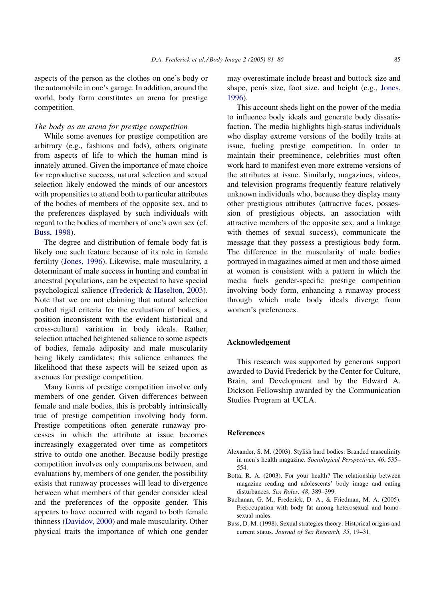<span id="page-4-0"></span>aspects of the person as the clothes on one's body or the automobile in one's garage. In addition, around the world, body form constitutes an arena for prestige competition.

## The body as an arena for prestige competition

While some avenues for prestige competition are arbitrary (e.g., fashions and fads), others originate from aspects of life to which the human mind is innately attuned. Given the importance of mate choice for reproductive success, natural selection and sexual selection likely endowed the minds of our ancestors with propensities to attend both to particular attributes of the bodies of members of the opposite sex, and to the preferences displayed by such individuals with regard to the bodies of members of one's own sex (cf. Buss, 1998).

The degree and distribution of female body fat is likely one such feature because of its role in female fertility [\(Jones, 1996\)](#page-5-0). Likewise, male muscularity, a determinant of male success in hunting and combat in ancestral populations, can be expected to have special psychological salience [\(Frederick & Haselton, 2003\)](#page-5-0). Note that we are not claiming that natural selection crafted rigid criteria for the evaluation of bodies, a position inconsistent with the evident historical and cross-cultural variation in body ideals. Rather, selection attached heightened salience to some aspects of bodies, female adiposity and male muscularity being likely candidates; this salience enhances the likelihood that these aspects will be seized upon as avenues for prestige competition.

Many forms of prestige competition involve only members of one gender. Given differences between female and male bodies, this is probably intrinsically true of prestige competition involving body form. Prestige competitions often generate runaway processes in which the attribute at issue becomes increasingly exaggerated over time as competitors strive to outdo one another. Because bodily prestige competition involves only comparisons between, and evaluations by, members of one gender, the possibility exists that runaway processes will lead to divergence between what members of that gender consider ideal and the preferences of the opposite gender. This appears to have occurred with regard to both female thinness ([Davidov, 2000](#page-5-0)) and male muscularity. Other physical traits the importance of which one gender may overestimate include breast and buttock size and shape, penis size, foot size, and height (e.g., [Jones,](#page-5-0) [1996\)](#page-5-0).

This account sheds light on the power of the media to influence body ideals and generate body dissatisfaction. The media highlights high-status individuals who display extreme versions of the bodily traits at issue, fueling prestige competition. In order to maintain their preeminence, celebrities must often work hard to manifest even more extreme versions of the attributes at issue. Similarly, magazines, videos, and television programs frequently feature relatively unknown individuals who, because they display many other prestigious attributes (attractive faces, possession of prestigious objects, an association with attractive members of the opposite sex, and a linkage with themes of sexual success), communicate the message that they possess a prestigious body form. The difference in the muscularity of male bodies portrayed in magazines aimed at men and those aimed at women is consistent with a pattern in which the media fuels gender-specific prestige competition involving body form, enhancing a runaway process through which male body ideals diverge from women's preferences.

# Acknowledgement

This research was supported by generous support awarded to David Frederick by the Center for Culture, Brain, and Development and by the Edward A. Dickson Fellowship awarded by the Communication Studies Program at UCLA.

#### References

- Alexander, S. M. (2003). Stylish hard bodies: Branded masculinity in men's health magazine. Sociological Perspectives, 46, 535– 554.
- Botta, R. A. (2003). For your health? The relationship between magazine reading and adolescents' body image and eating disturbances. Sex Roles, 48, 389–399.
- Buchanan, G. M., Frederick, D. A., & Friedman, M. A. (2005). Preoccupation with body fat among heterosexual and homosexual males.
- Buss, D. M. (1998). Sexual strategies theory: Historical origins and current status. Journal of Sex Research, 35, 19–31.